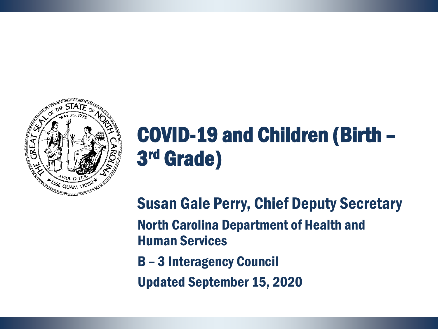

## COVID-19 and Children (Birth – 3 rd Grade)

Susan Gale Perry, Chief Deputy Secretary North Carolina Department of Health and Human Services

B – 3 Interagency Council

Updated September 15, 2020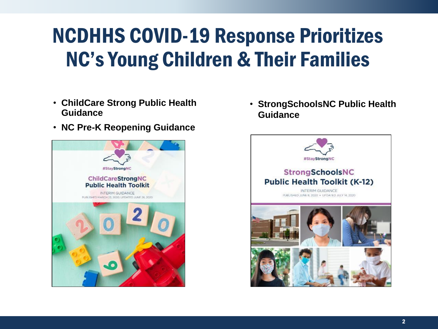### NCDHHS COVID-19 Response Prioritizes NC's Young Children & Their Families

- **ChildCare Strong Public Health Guidance**
- **NC Pre-K Reopening Guidance**



• **StrongSchoolsNC Public Health Guidance**

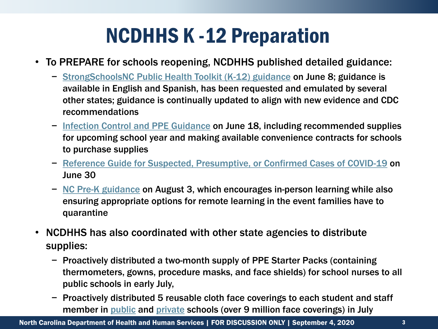### NCDHHS K -12 Preparation

- To PREPARE for schools reopening, NCDHHS published detailed guidance:
	- − StrongSchoolsNC [Public Health Toolkit \(K-12\) guidance](https://files.nc.gov/covid/documents/guidance/Strong-Schools-NC-Public-Health-Toolkit.pdf) on June 8; guidance is available in English and Spanish, has been requested and emulated by several other states; guidance is continually updated to align with new evidence and CDC recommendations
	- − [Infection Control and PPE Guidance](https://files.nc.gov/covid/documents/guidance/education/Strong-Schools-NC-Public-Health-Toolkit-PPE-Guidance.pdf) on June 18, including recommended supplies for upcoming school year and making available convenience contracts for schools to purchase supplies
	- − [Reference Guide for Suspected, Presumptive, or Confirmed Cases of COVID-19](https://files.nc.gov/covid/PHT-ScreeningReferenceGuide_6.30.pdf) on June 30
	- − NC Pre-K [guidance](https://ncchildcare.ncdhhs.gov/Portals/0/documents/pdf/C/COVID-19_Interim_Reopening_Policies_for_NC_Pre-K_Programs.pdf?ver=2020-08-03-164819-793) on August 3, which encourages in-person learning while also ensuring appropriate options for remote learning in the event families have to quarantine
- NCDHHS has also coordinated with other state agencies to distribute supplies:
	- − Proactively distributed a two-month supply of PPE Starter Packs (containing thermometers, gowns, procedure masks, and face shields) for school nurses to all public schools in early July,
	- − Proactively distributed 5 reusable cloth face coverings to each student and staff member in [public](https://files.nc.gov/covid/documents/guidance/education/Memorandum-Cloth-Face-Covering-Distribution-K-12.pdf) and [private](https://files.nc.gov/covid/documents/guidance/education/NCDHHS-Guidance-for-Face-Covering-Communication-Private-Schools.pdf) schools (over 9 million face coverings) in July

North Carolina Department of Health and Human Services | FOR DISCUSSION ONLY | September 4, 2020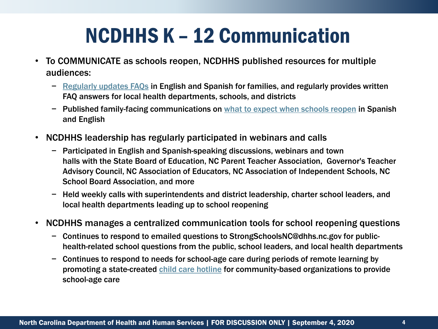### NCDHHS K – 12 Communication

- To COMMUNICATE as schools reopen, NCDHHS published resources for multiple audiences:
	- − [Regularly updates FAQs](https://files.nc.gov/covid/documents/guidance/education/Strong-Schools-NC-FAQs.pdf) in English and Spanish for families, and regularly provides written FAQ answers for local health departments, schools, and districts
	- − Published family-facing communications on [what to expect when schools reopen](https://files.nc.gov/covid/documents/guidance/education/NCDHHS-Guidance-for-When-Schools-Reopen.pdf) in Spanish and English
- NCDHHS leadership has regularly participated in webinars and calls
	- − Participated in English and Spanish-speaking discussions, webinars and town halls with the State Board of Education, NC Parent Teacher Association, Governor's Teacher Advisory Council, NC Association of Educators, NC Association of Independent Schools, NC School Board Association, and more
	- − Held weekly calls with superintendents and district leadership, charter school leaders, and local health departments leading up to school reopening
- NCDHHS manages a centralized communication tools for school reopening questions
	- − Continues to respond to emailed questions to StrongSchoolsNC@dhhs.nc.gov for publichealth-related school questions from the public, school leaders, and local health departments
	- − Continues to respond to needs for school-age care during periods of remote learning by promoting a state-created [child care hotline](https://ncchildcare.ncdhhs.gov/Portals/0/documents/pdf/C/Childcare_Flier.pdf?ver=2020-08-07-190824-360) for community-based organizations to provide school-age care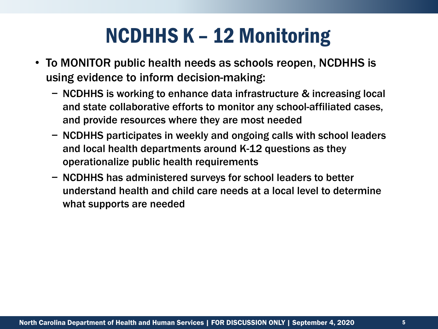### NCDHHS K – 12 Monitoring

- To MONITOR public health needs as schools reopen, NCDHHS is using evidence to inform decision-making:
	- − NCDHHS is working to enhance data infrastructure & increasing local and state collaborative efforts to monitor any school-affiliated cases, and provide resources where they are most needed
	- − NCDHHS participates in weekly and ongoing calls with school leaders and local health departments around K-12 questions as they operationalize public health requirements
	- − NCDHHS has administered surveys for school leaders to better understand health and child care needs at a local level to determine what supports are needed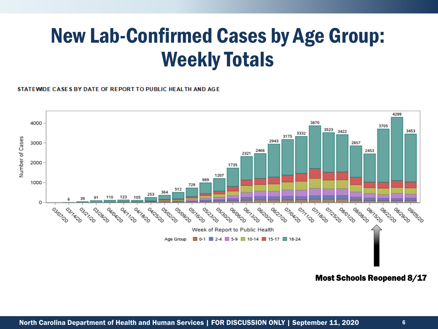### New Lab-Confirmed Cases by Age Group: Weekly Totals

#### STATEWIDE CASES BY DATE OF REPORT TO PUBLIC HEALTH AND AGE



#### Most Schools Reopened 8/17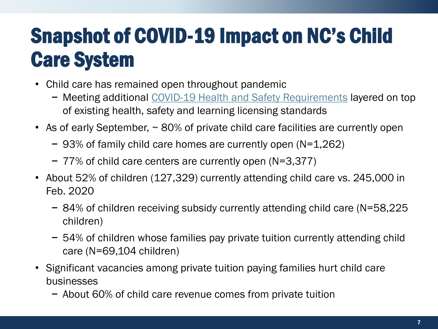## Snapshot of COVID-19 Impact on NC's Child Care System

- Child care has remained open throughout pandemic
	- − Meeting additional [COVID-19 Health and Safety Requirements](https://files.nc.gov/covid/documents/childcare/NC-Interim-Guidance-for-Child-Care-Settings.pdf) layered on top of existing health, safety and learning licensing standards
- As of early September, ~ 80% of private child care facilities are currently open
	- − 93% of family child care homes are currently open (N=1,262)
	- − 77% of child care centers are currently open (N=3,377)
- About 52% of children (127,329) currently attending child care vs. 245,000 in Feb. 2020
	- − 84% of children receiving subsidy currently attending child care (N=58,225 children)
	- − 54% of children whose families pay private tuition currently attending child care (N=69,104 children)
- Significant vacancies among private tuition paying families hurt child care businesses
	- − About 60% of child care revenue comes from private tuition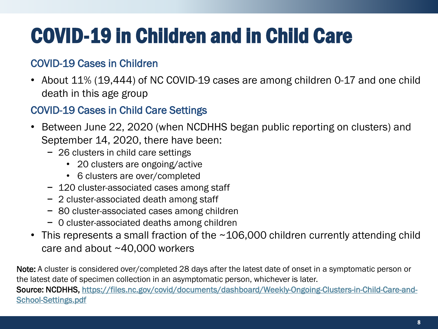# COVID-19 in Children and in Child Care

#### COVID-19 Cases in Children

• About 11% (19,444) of NC COVID-19 cases are among children 0-17 and one child death in this age group

#### COVID-19 Cases in Child Care Settings

- Between June 22, 2020 (when NCDHHS began public reporting on clusters) and September 14, 2020, there have been:
	- − 26 clusters in child care settings
		- 20 clusters are ongoing/active
		- 6 clusters are over/completed
	- − 120 cluster-associated cases among staff
	- − 2 cluster-associated death among staff
	- − 80 cluster-associated cases among children
	- − 0 cluster-associated deaths among children
- This represents a small fraction of the ~106,000 children currently attending child care and about ~40,000 workers

Note: A cluster is considered over/completed 28 days after the latest date of onset in a symptomatic person or the latest date of specimen collection in an asymptomatic person, whichever is later. [Source: NCDHHS, https://files.nc.gov/covid/documents/dashboard/Weekly-Ongoing-Clusters-in-Child-Care-and-](https://files.nc.gov/covid/documents/dashboard/Weekly-Ongoing-Clusters-in-Child-Care-and-School-Settings.pdf)School-Settings.pdf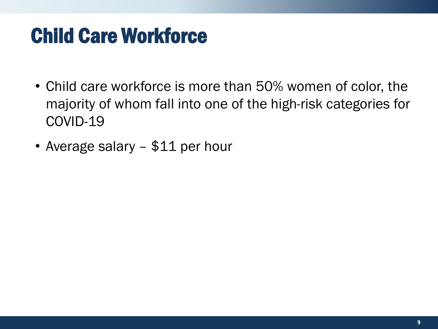### Child Care Workforce

- Child care workforce is more than 50% women of color, the majority of whom fall into one of the high-risk categories for COVID-19
- Average salary \$11 per hour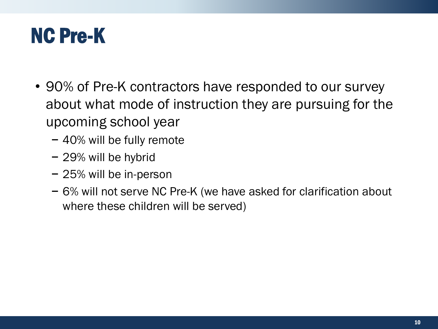### NC Pre-K

- 90% of Pre-K contractors have responded to our survey about what mode of instruction they are pursuing for the upcoming school year
	- − 40% will be fully remote
	- − 29% will be hybrid
	- − 25% will be in-person
	- − 6% will not serve NC Pre-K (we have asked for clarification about where these children will be served)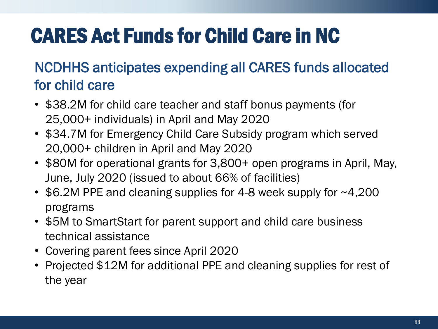# CARES Act Funds for Child Care in NC

### NCDHHS anticipates expending all CARES funds allocated for child care

- \$38.2M for child care teacher and staff bonus payments (for 25,000+ individuals) in April and May 2020
- \$34.7M for Emergency Child Care Subsidy program which served 20,000+ children in April and May 2020
- \$80M for operational grants for 3,800+ open programs in April, May, June, July 2020 (issued to about 66% of facilities)
- \$6.2M PPE and cleaning supplies for 4-8 week supply for ~4,200 programs
- \$5M to SmartStart for parent support and child care business technical assistance
- Covering parent fees since April 2020
- Projected \$12M for additional PPE and cleaning supplies for rest of the year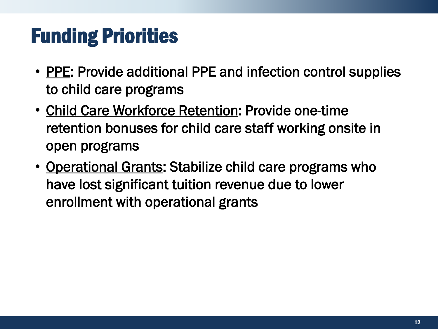### Funding Priorities

- PPE: Provide additional PPE and infection control supplies to child care programs
- Child Care Workforce Retention: Provide one-time retention bonuses for child care staff working onsite in open programs
- Operational Grants: Stabilize child care programs who have lost significant tuition revenue due to lower enrollment with operational grants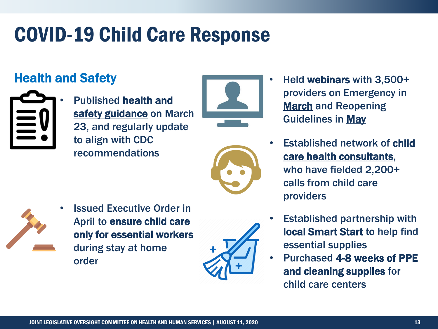### Health and Safety



• Published health and [safety guidance](https://files.nc.gov/ncdhhs/documents/files/covid-19/NC-Interim-Guidance-for-Child-Care-Settings.pdf) on March 23, and regularly update to align with CDC recommendations





- Held webinars with 3,500+ providers on Emergency in **[March](https://ncchildcare.ncdhhs.gov/Whats-New/Coronavirus-Information-for-Child-Care/webinars-for-child-care-providers-available)** and Reopening Guidelines in [May](https://ncchildcare.ncdhhs.gov/Whats-New/Coronavirus-Information-for-Child-Care/covid-19-may-14-and-15-2020-child-care-response-webinar)
- **Established network of child** [care health consultants,](https://healthychildcare.unc.edu/cchcs-during-covid-19/)  who have fielded 2,200+ calls from child care providers



**Issued Executive Order in** April to ensure child care only for essential workers during stay at home order



- Established partnership with local Smart Start to help find essential supplies
- Purchased 4-8 weeks of PPE and cleaning supplies for child care centers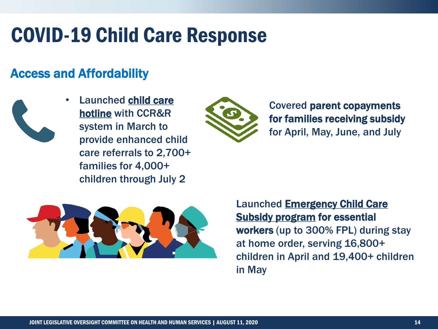#### Access and Affordability



• Launched child care hotline [with CCR&R](https://www.ncdhhs.gov/news/press-releases/ncdhhs-announces-hotline-critical-workers-seeking-child-care-options)  system in March to provide enhanced child care referrals to 2,700+ families for 4,000+ children through July 2



Covered parent copayments for families receiving subsidy for April, May, June, and July



[Launched Emergency Child Care](https://www.ncdhhs.gov/news/press-releases/ncdhhs-provide-financial-support-essential-workers-and-child-care-providers)  Subsidy program for essential workers (up to 300% FPL) during stay at home order, serving 16,800+ children in April and 19,400+ children in May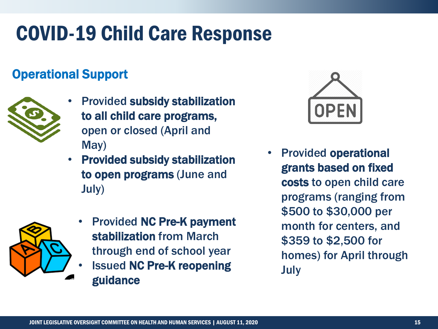#### Operational Support



- Provided subsidy stabilization to all child care programs, open or closed (April and May)
- Provided subsidy stabilization to open programs (June and July)



**Issued NC Pre-K reopening** guidance



• Provided operational grants based on fixed costs to open child care programs (ranging from \$500 to \$30,000 per month for centers, and \$359 to \$2,500 for homes) for April through July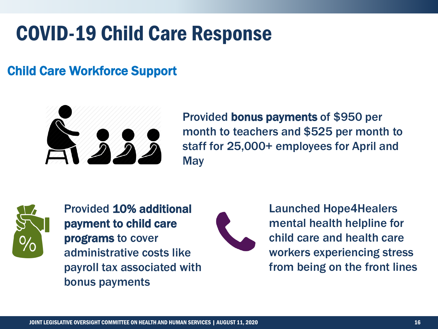#### Child Care Workforce Support



Provided bonus payments of \$950 per month to teachers and \$525 per month to staff for 25,000+ employees for April and **May** 



Provided 10% additional payment to child care programs to cover administrative costs like payroll tax associated with bonus payments



Launched Hope4Healers mental health helpline for child care and health care workers experiencing stress from being on the front lines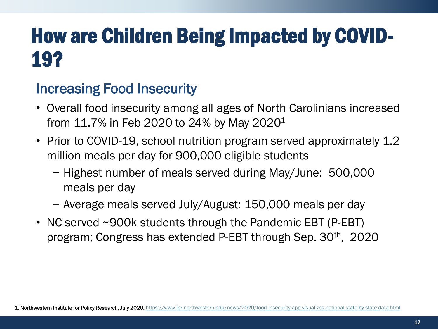### How are Children Being Impacted by COVID-19?

### Increasing Food Insecurity

- Overall food insecurity among all ages of North Carolinians increased from 11.7% in Feb 2020 to 24% by May 2020<sup>1</sup>
- Prior to COVID-19, school nutrition program served approximately 1.2 million meals per day for 900,000 eligible students
	- − Highest number of meals served during May/June: 500,000 meals per day
	- − Average meals served July/August: 150,000 meals per day
- NC served ~900k students through the Pandemic EBT (P-EBT) program; Congress has extended P-EBT through Sep. 30th, 2020

1. Northwestern Institute for Policy Research, July 2020. <https://www.ipr.northwestern.edu/news/2020/food-insecurity-app-visualizes-national-state-by-state-data.html>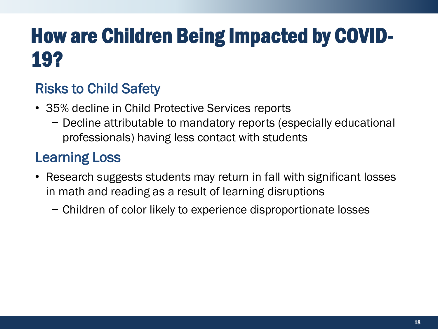## How are Children Being Impacted by COVID-19?

### Risks to Child Safety

- 35% decline in Child Protective Services reports
	- − Decline attributable to mandatory reports (especially educational professionals) having less contact with students

### Learning Loss

- Research suggests students may return in fall with significant losses in math and reading as a result of learning disruptions
	- − Children of color likely to experience disproportionate losses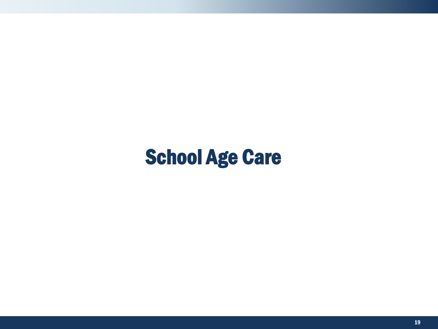### School Age Care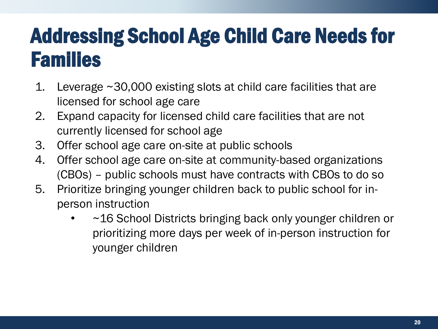### Addressing School Age Child Care Needs for Families

- 1. Leverage ~30,000 existing slots at child care facilities that are licensed for school age care
- 2. Expand capacity for licensed child care facilities that are not currently licensed for school age
- 3. Offer school age care on-site at public schools
- 4. Offer school age care on-site at community-based organizations (CBOs) – public schools must have contracts with CBOs to do so
- 5. Prioritize bringing younger children back to public school for inperson instruction
	- ~16 School Districts bringing back only younger children or prioritizing more days per week of in-person instruction for younger children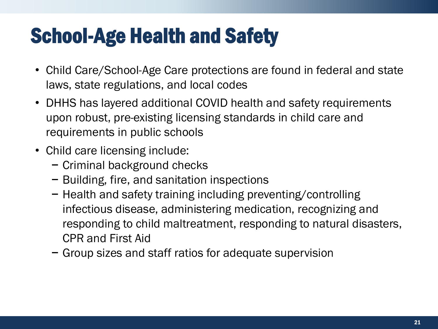### School-Age Health and Safety

- Child Care/School-Age Care protections are found in federal and state laws, state regulations, and local codes
- DHHS has layered additional COVID health and safety requirements upon robust, pre-existing licensing standards in child care and requirements in public schools
- Child care licensing include:
	- − Criminal background checks
	- − Building, fire, and sanitation inspections
	- − Health and safety training including preventing/controlling infectious disease, administering medication, recognizing and responding to child maltreatment, responding to natural disasters, CPR and First Aid
	- − Group sizes and staff ratios for adequate supervision